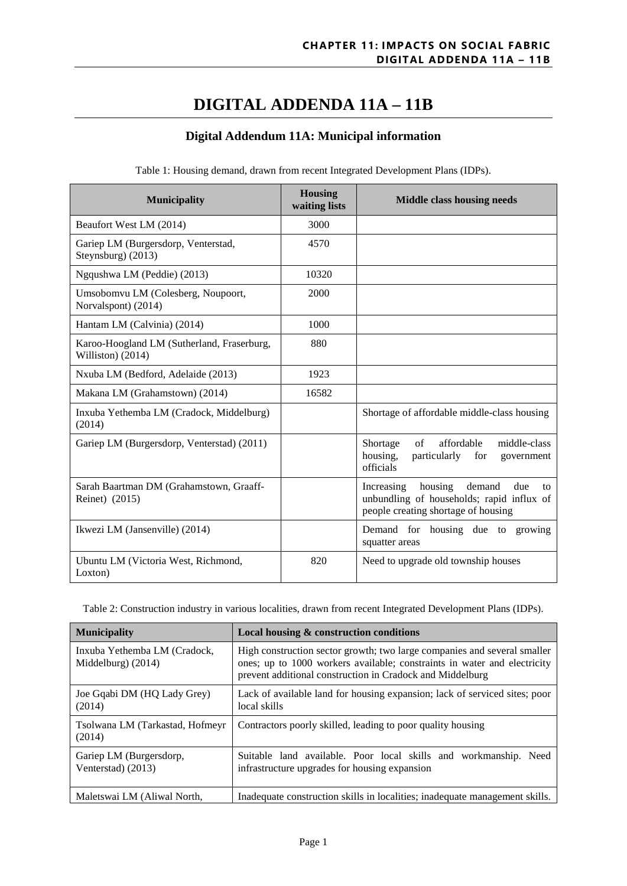# **DIGITAL ADDENDA 11A – 11B**

# **Digital Addendum 11A: Municipal information**

| <b>Municipality</b>                                             | <b>Housing</b><br>waiting lists | <b>Middle class housing needs</b>                                                                                             |
|-----------------------------------------------------------------|---------------------------------|-------------------------------------------------------------------------------------------------------------------------------|
| Beaufort West LM (2014)                                         | 3000                            |                                                                                                                               |
| Gariep LM (Burgersdorp, Venterstad,<br>Steynsburg) (2013)       | 4570                            |                                                                                                                               |
| Ngqushwa LM (Peddie) (2013)                                     | 10320                           |                                                                                                                               |
| Umsobomvu LM (Colesberg, Noupoort,<br>Norvalspont) (2014)       | 2000                            |                                                                                                                               |
| Hantam LM (Calvinia) (2014)                                     | 1000                            |                                                                                                                               |
| Karoo-Hoogland LM (Sutherland, Fraserburg,<br>Williston) (2014) | 880                             |                                                                                                                               |
| Nxuba LM (Bedford, Adelaide (2013)                              | 1923                            |                                                                                                                               |
| Makana LM (Grahamstown) (2014)                                  | 16582                           |                                                                                                                               |
| Inxuba Yethemba LM (Cradock, Middelburg)<br>(2014)              |                                 | Shortage of affordable middle-class housing                                                                                   |
| Gariep LM (Burgersdorp, Venterstad) (2011)                      |                                 | affordable<br>$\sigma$ f<br>middle-class<br>Shortage<br>housing,<br>particularly<br>for<br>government<br>officials            |
| Sarah Baartman DM (Grahamstown, Graaff-<br>Reinet) (2015)       |                                 | housing demand<br>due<br>Increasing<br>to<br>unbundling of households; rapid influx of<br>people creating shortage of housing |
| Ikwezi LM (Jansenville) (2014)                                  |                                 | Demand for housing due to growing<br>squatter areas                                                                           |
| Ubuntu LM (Victoria West, Richmond,<br>Loxton)                  | 820                             | Need to upgrade old township houses                                                                                           |

Table 1: Housing demand, drawn from recent Integrated Development Plans (IDPs).

Table 2: Construction industry in various localities, drawn from recent Integrated Development Plans (IDPs).

| <b>Municipality</b>                                 | Local housing & construction conditions                                                                                                                                                                           |
|-----------------------------------------------------|-------------------------------------------------------------------------------------------------------------------------------------------------------------------------------------------------------------------|
| Inxuba Yethemba LM (Cradock,<br>Middelburg $(2014)$ | High construction sector growth; two large companies and several smaller<br>ones; up to 1000 workers available; constraints in water and electricity<br>prevent additional construction in Cradock and Middelburg |
| Joe Gqabi DM (HQ Lady Grey)<br>(2014)               | Lack of available land for housing expansion; lack of serviced sites; poor<br>local skills                                                                                                                        |
| Tsolwana LM (Tarkastad, Hofmeyr<br>(2014)           | Contractors poorly skilled, leading to poor quality housing                                                                                                                                                       |
| Gariep LM (Burgersdorp,<br>Venterstad) (2013)       | Suitable land available. Poor local skills and workmanship. Need<br>infrastructure upgrades for housing expansion                                                                                                 |
| Maletswai LM (Aliwal North,                         | Inadequate construction skills in localities; inadequate management skills.                                                                                                                                       |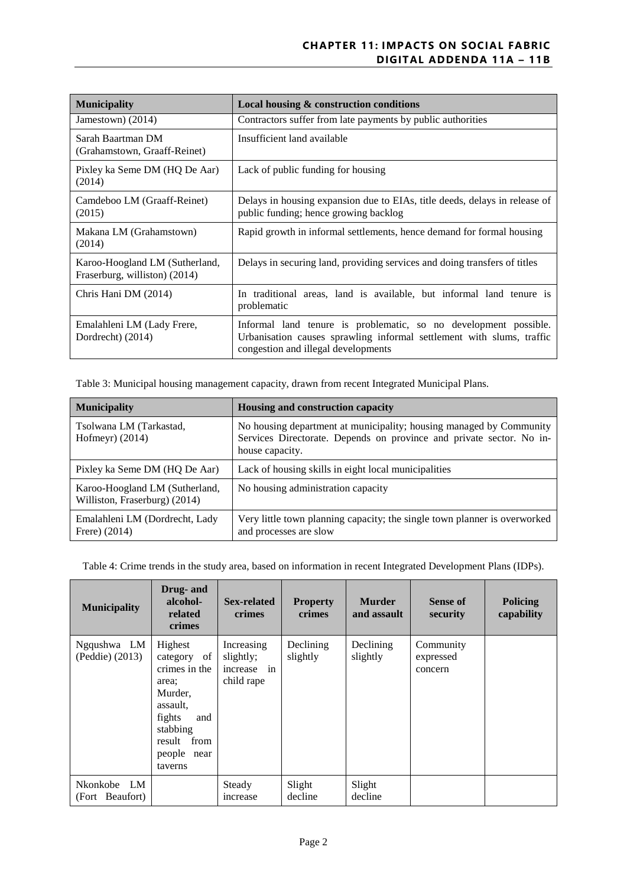| <b>Municipality</b>                                             | Local housing & construction conditions                                                                                                                                          |
|-----------------------------------------------------------------|----------------------------------------------------------------------------------------------------------------------------------------------------------------------------------|
| Jamestown) $(2014)$                                             | Contractors suffer from late payments by public authorities                                                                                                                      |
| Sarah Baartman DM<br>(Grahamstown, Graaff-Reinet)               | Insufficient land available                                                                                                                                                      |
| Pixley ka Seme DM (HQ De Aar)<br>(2014)                         | Lack of public funding for housing                                                                                                                                               |
| Camdeboo LM (Graaff-Reinet)<br>(2015)                           | Delays in housing expansion due to EIAs, title deeds, delays in release of<br>public funding; hence growing backlog                                                              |
| Makana LM (Grahamstown)<br>(2014)                               | Rapid growth in informal settlements, hence demand for formal housing                                                                                                            |
| Karoo-Hoogland LM (Sutherland,<br>Fraserburg, williston) (2014) | Delays in securing land, providing services and doing transfers of titles                                                                                                        |
| Chris Hani DM (2014)                                            | In traditional areas, land is available, but informal land tenure is<br>problematic                                                                                              |
| Emalahleni LM (Lady Frere,<br>Dordrecht) (2014)                 | Informal land tenure is problematic, so no development possible.<br>Urbanisation causes sprawling informal settlement with slums, traffic<br>congestion and illegal developments |

Table 3: Municipal housing management capacity, drawn from recent Integrated Municipal Plans.

| <b>Municipality</b>                                             | Housing and construction capacity                                                                                                                              |
|-----------------------------------------------------------------|----------------------------------------------------------------------------------------------------------------------------------------------------------------|
| Tsolwana LM (Tarkastad,<br>Hofmeyr) $(2014)$                    | No housing department at municipality; housing managed by Community<br>Services Directorate. Depends on province and private sector. No in-<br>house capacity. |
| Pixley ka Seme DM (HQ De Aar)                                   | Lack of housing skills in eight local municipalities                                                                                                           |
| Karoo-Hoogland LM (Sutherland,<br>Williston, Fraserburg) (2014) | No housing administration capacity                                                                                                                             |
| Emalahleni LM (Dordrecht, Lady<br>Frere $(2014)$                | Very little town planning capacity; the single town planner is overworked<br>and processes are slow                                                            |

Table 4: Crime trends in the study area, based on information in recent Integrated Development Plans (IDPs).

| <b>Municipality</b>            | Drug- and<br>alcohol-<br>related<br>crimes                                                                                                       | <b>Sex-related</b><br>crimes                         | <b>Property</b><br>crimes | <b>Murder</b><br>and assault | <b>Sense of</b><br>security       | <b>Policing</b><br>capability |
|--------------------------------|--------------------------------------------------------------------------------------------------------------------------------------------------|------------------------------------------------------|---------------------------|------------------------------|-----------------------------------|-------------------------------|
| Ngqushwa LM<br>(Peddie) (2013) | Highest<br>category of<br>crimes in the<br>area:<br>Murder,<br>assault.<br>fights<br>and<br>stabbing<br>result<br>from<br>people near<br>taverns | Increasing<br>slightly;<br>increase in<br>child rape | Declining<br>slightly     | Declining<br>slightly        | Community<br>expressed<br>concern |                               |
| Nkonkobe LM<br>(Fort Beaufort) |                                                                                                                                                  | Steady<br>increase                                   | Slight<br>decline         | Slight<br>decline            |                                   |                               |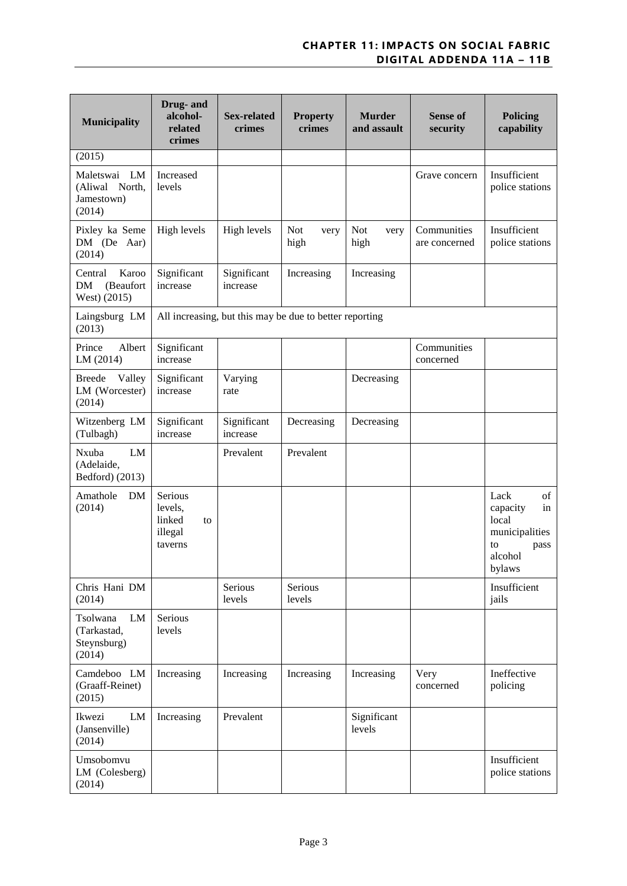| <b>Municipality</b>                                       | Drug- and<br>alcohol-<br>related<br>crimes               | <b>Sex-related</b><br>crimes | <b>Property</b><br>crimes                               | <b>Murder</b><br>and assault | <b>Sense of</b><br>security  | <b>Policing</b><br>capability                                                              |
|-----------------------------------------------------------|----------------------------------------------------------|------------------------------|---------------------------------------------------------|------------------------------|------------------------------|--------------------------------------------------------------------------------------------|
| (2015)                                                    |                                                          |                              |                                                         |                              |                              |                                                                                            |
| Maletswai<br>LM<br>(Aliwal North,<br>Jamestown)<br>(2014) | Increased<br>levels                                      |                              |                                                         |                              | Grave concern                | Insufficient<br>police stations                                                            |
| Pixley ka Seme<br>DM (De Aar)<br>(2014)                   | High levels                                              | High levels                  | <b>Not</b><br>very<br>high                              | <b>Not</b><br>very<br>high   | Communities<br>are concerned | Insufficient<br>police stations                                                            |
| Central<br>Karoo<br>DM<br>(Beaufort<br>West) (2015)       | Significant<br>increase                                  | Significant<br>increase      | Increasing                                              | Increasing                   |                              |                                                                                            |
| Laingsburg LM<br>(2013)                                   |                                                          |                              | All increasing, but this may be due to better reporting |                              |                              |                                                                                            |
| Prince<br>Albert<br>LM(2014)                              | Significant<br>increase                                  |                              |                                                         |                              | Communities<br>concerned     |                                                                                            |
| <b>Breede</b><br>Valley<br>LM (Worcester)<br>(2014)       | Significant<br>increase                                  | Varying<br>rate              |                                                         | Decreasing                   |                              |                                                                                            |
| Witzenberg LM<br>(Tulbagh)                                | Significant<br>increase                                  | Significant<br>increase      | Decreasing                                              | Decreasing                   |                              |                                                                                            |
| LM<br>Nxuba<br>(Adelaide,<br>Bedford) (2013)              |                                                          | Prevalent                    | Prevalent                                               |                              |                              |                                                                                            |
| Amathole<br>DM<br>(2014)                                  | Serious<br>levels,<br>linked<br>to<br>illegal<br>taverns |                              |                                                         |                              |                              | Lack<br>of<br>capacity<br>in<br>local<br>municipalities<br>to<br>pass<br>alcohol<br>bylaws |
| Chris Hani DM<br>(2014)                                   |                                                          | Serious<br>levels            | Serious<br>levels                                       |                              |                              | Insufficient<br>jails                                                                      |
| LM<br>Tsolwana<br>(Tarkastad,<br>Steynsburg)<br>(2014)    | Serious<br>levels                                        |                              |                                                         |                              |                              |                                                                                            |
| Camdeboo LM<br>(Graaff-Reinet)<br>(2015)                  | Increasing                                               | Increasing                   | Increasing                                              | Increasing                   | Very<br>concerned            | Ineffective<br>policing                                                                    |
| LM<br>Ikwezi<br>(Jansenville)<br>(2014)                   | Increasing                                               | Prevalent                    |                                                         | Significant<br>levels        |                              |                                                                                            |
| Umsobomvu<br>LM (Colesberg)<br>(2014)                     |                                                          |                              |                                                         |                              |                              | Insufficient<br>police stations                                                            |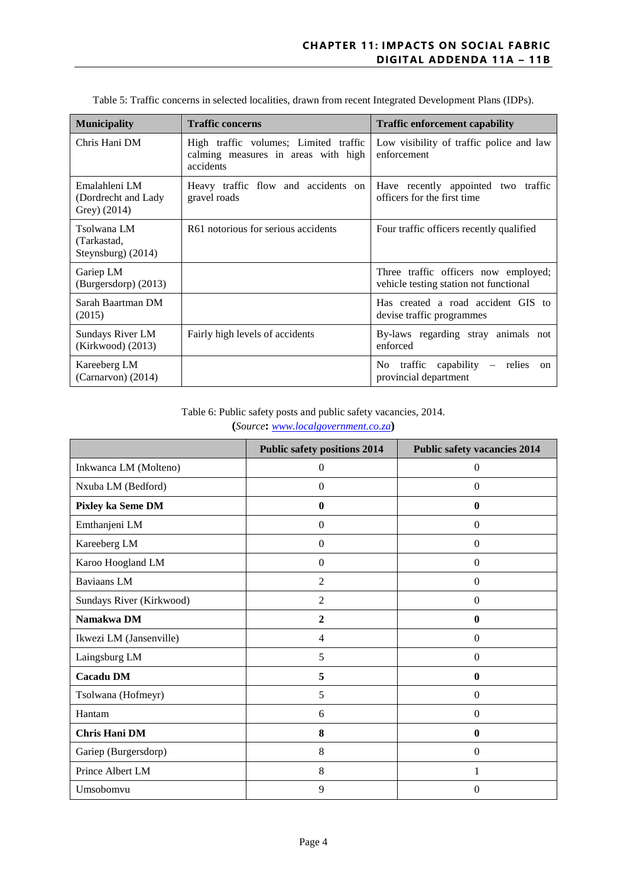| <b>Municipality</b>                                  | <b>Traffic concerns</b>                                                                   | <b>Traffic enforcement capability</b>                                                          |
|------------------------------------------------------|-------------------------------------------------------------------------------------------|------------------------------------------------------------------------------------------------|
| Chris Hani DM                                        | High traffic volumes; Limited traffic<br>calming measures in areas with high<br>accidents | Low visibility of traffic police and law<br>enforcement                                        |
| Emalahleni LM<br>(Dordrecht and Lady<br>Grey) (2014) | Heavy traffic flow and accidents on<br>gravel roads                                       | Have recently appointed two traffic<br>officers for the first time                             |
| Tsolwana LM<br>(Tarkastad,<br>Steynsburg $(2014)$    | R61 notorious for serious accidents                                                       | Four traffic officers recently qualified                                                       |
| Gariep LM<br>(Burgersdorp) (2013)                    |                                                                                           | Three traffic officers now employed;<br>vehicle testing station not functional                 |
| Sarah Baartman DM<br>(2015)                          |                                                                                           | Has created a road accident GIS to<br>devise traffic programmes                                |
| Sundays River LM<br>(Kirkwood) (2013)                | Fairly high levels of accidents                                                           | By-laws regarding stray animals not<br>enforced                                                |
| Kareeberg LM<br>$(Carnarvon)$ (2014)                 |                                                                                           | traffic capability<br>No.<br>relies<br>$\overline{\phantom{m}}$<br>on<br>provincial department |

Table 5: Traffic concerns in selected localities, drawn from recent Integrated Development Plans (IDPs).

Table 6: Public safety posts and public safety vacancies, 2014. **(***Source***:** *[www.localgovernment.co.za](http://www.localgovernment.co.za/)***)** 

|                          | <b>Public safety positions 2014</b> | <b>Public safety vacancies 2014</b> |
|--------------------------|-------------------------------------|-------------------------------------|
| Inkwanca LM (Molteno)    | $\mathbf{0}$                        | $\mathbf{0}$                        |
| Nxuba LM (Bedford)       | $\boldsymbol{0}$                    | $\mathbf{0}$                        |
| Pixley ka Seme DM        | $\boldsymbol{0}$                    | $\boldsymbol{0}$                    |
| Emthanjeni LM            | $\boldsymbol{0}$                    | $\boldsymbol{0}$                    |
| Kareeberg LM             | $\boldsymbol{0}$                    | $\mathbf{0}$                        |
| Karoo Hoogland LM        | $\boldsymbol{0}$                    | $\mathbf{0}$                        |
| <b>Baviaans LM</b>       | $\overline{2}$                      | $\mathbf{0}$                        |
| Sundays River (Kirkwood) | $\overline{2}$                      | $\mathbf{0}$                        |
| Namakwa DM               | $\boldsymbol{2}$                    | $\boldsymbol{0}$                    |
| Ikwezi LM (Jansenville)  | $\overline{4}$                      | $\mathbf{0}$                        |
| Laingsburg LM            | 5                                   | $\mathbf{0}$                        |
| <b>Cacadu DM</b>         | 5                                   | $\boldsymbol{0}$                    |
| Tsolwana (Hofmeyr)       | 5                                   | $\mathbf{0}$                        |
| Hantam                   | 6                                   | $\mathbf{0}$                        |
| <b>Chris Hani DM</b>     | 8                                   | $\mathbf{0}$                        |
| Gariep (Burgersdorp)     | 8                                   | $\Omega$                            |
| Prince Albert LM         | 8                                   | 1                                   |
| Umsobomvu                | 9                                   | $\Omega$                            |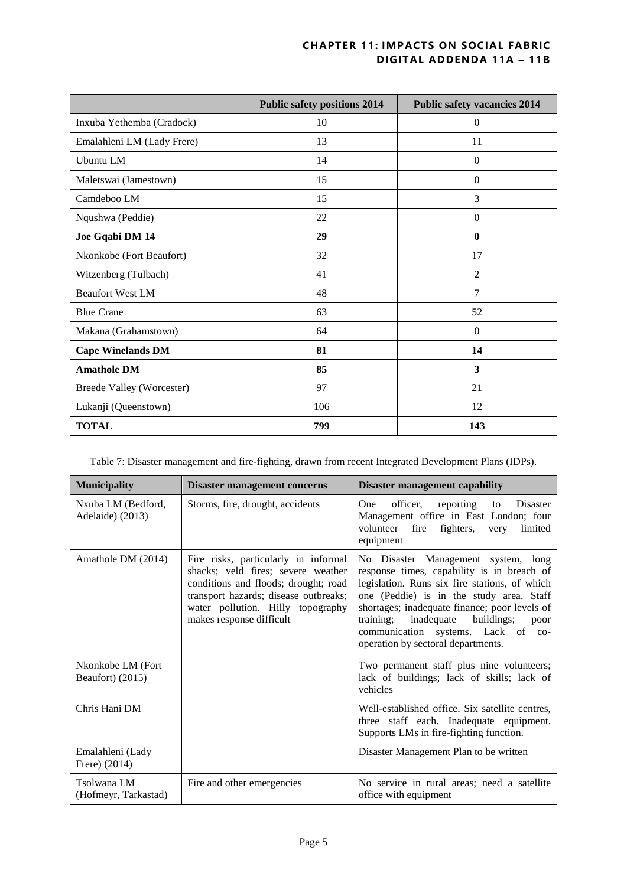|                                  | <b>Public safety positions 2014</b> | <b>Public safety vacancies 2014</b> |
|----------------------------------|-------------------------------------|-------------------------------------|
| Inxuba Yethemba (Cradock)        | 10                                  | $\mathbf{0}$                        |
| Emalahleni LM (Lady Frere)       | 13                                  | 11                                  |
| Ubuntu LM                        | 14                                  | $\mathbf{0}$                        |
| Maletswai (Jamestown)            | 15                                  | $\mathbf{0}$                        |
| Camdeboo LM                      | 15                                  | 3                                   |
| Nqushwa (Peddie)                 | 22                                  | $\Omega$                            |
| Joe Gqabi DM 14                  | 29                                  | $\mathbf{0}$                        |
| Nkonkobe (Fort Beaufort)         | 32                                  | 17                                  |
| Witzenberg (Tulbach)             | 41                                  | 2                                   |
| <b>Beaufort West LM</b>          | 48                                  | 7                                   |
| <b>Blue Crane</b>                | 63                                  | 52                                  |
| Makana (Grahamstown)             | 64                                  | $\mathbf{0}$                        |
| <b>Cape Winelands DM</b>         | 81                                  | 14                                  |
| <b>Amathole DM</b>               | 85                                  | $\mathbf{3}$                        |
| <b>Breede Valley (Worcester)</b> | 97                                  | 21                                  |
| Lukanji (Queenstown)             | 106                                 | 12                                  |
| <b>TOTAL</b>                     | 799                                 | 143                                 |

Table 7: Disaster management and fire-fighting, drawn from recent Integrated Development Plans (IDPs).

| <b>Municipality</b>                    | <b>Disaster management concerns</b>                                                                                                                                                                                          | <b>Disaster management capability</b>                                                                                                                                                                                                                                                                                                                        |
|----------------------------------------|------------------------------------------------------------------------------------------------------------------------------------------------------------------------------------------------------------------------------|--------------------------------------------------------------------------------------------------------------------------------------------------------------------------------------------------------------------------------------------------------------------------------------------------------------------------------------------------------------|
| Nxuba LM (Bedford,<br>Adelaide) (2013) | Storms, fire, drought, accidents                                                                                                                                                                                             | officer,<br>reporting<br>Disaster<br>One.<br>to<br>Management office in East London; four<br>fire<br>volunteer<br>fighters,<br>limited<br>very<br>equipment                                                                                                                                                                                                  |
| Amathole DM (2014)                     | Fire risks, particularly in informal<br>shacks; veld fires; severe weather<br>conditions and floods; drought; road<br>transport hazards; disease outbreaks;<br>water pollution. Hilly topography<br>makes response difficult | No Disaster Management system, long<br>response times, capability is in breach of<br>legislation. Runs six fire stations, of which<br>one (Peddie) is in the study area. Staff<br>shortages; inadequate finance; poor levels of<br>inadequate<br>training;<br>buildings;<br>poor<br>communication systems. Lack of co-<br>operation by sectoral departments. |
| Nkonkobe LM (Fort<br>Beaufort) (2015)  |                                                                                                                                                                                                                              | Two permanent staff plus nine volunteers;<br>lack of buildings; lack of skills; lack of<br>vehicles                                                                                                                                                                                                                                                          |
| Chris Hani DM                          |                                                                                                                                                                                                                              | Well-established office. Six satellite centres.<br>three staff each. Inadequate equipment.<br>Supports LMs in fire-fighting function.                                                                                                                                                                                                                        |
| Emalahleni (Lady<br>Frere) (2014)      |                                                                                                                                                                                                                              | Disaster Management Plan to be written                                                                                                                                                                                                                                                                                                                       |
| Tsolwana LM<br>(Hofmeyr, Tarkastad)    | Fire and other emergencies                                                                                                                                                                                                   | No service in rural areas; need a satellite<br>office with equipment                                                                                                                                                                                                                                                                                         |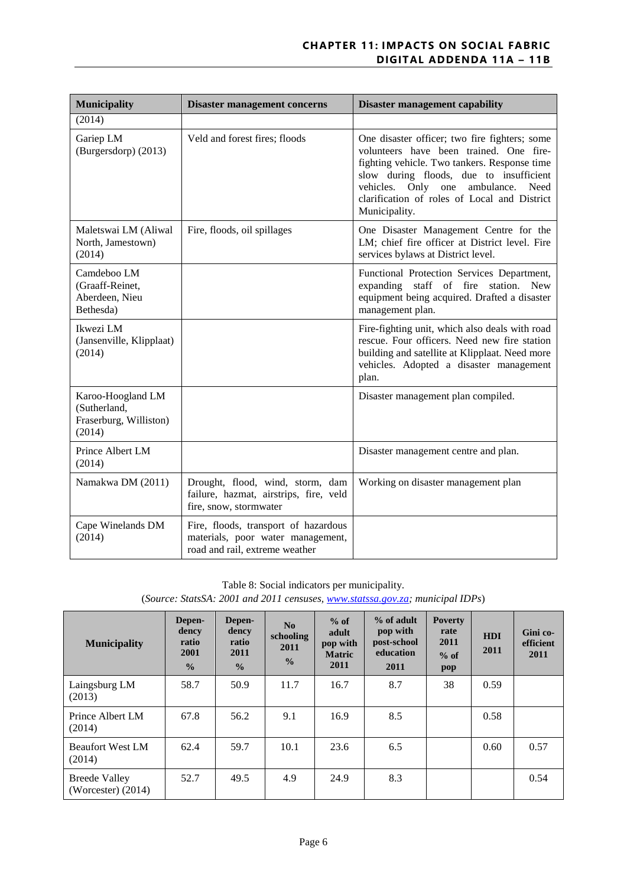| <b>Municipality</b>                                                   | <b>Disaster management concerns</b>                                                                         | <b>Disaster management capability</b>                                                                                                                                                                                                                                                            |
|-----------------------------------------------------------------------|-------------------------------------------------------------------------------------------------------------|--------------------------------------------------------------------------------------------------------------------------------------------------------------------------------------------------------------------------------------------------------------------------------------------------|
| (2014)                                                                |                                                                                                             |                                                                                                                                                                                                                                                                                                  |
| Gariep LM<br>(Burgersdorp) (2013)                                     | Veld and forest fires; floods                                                                               | One disaster officer; two fire fighters; some<br>volunteers have been trained. One fire-<br>fighting vehicle. Two tankers. Response time<br>slow during floods, due to insufficient<br>vehicles.<br>Only one ambulance.<br>Need<br>clarification of roles of Local and District<br>Municipality. |
| Maletswai LM (Aliwal<br>North, Jamestown)<br>(2014)                   | Fire, floods, oil spillages                                                                                 | One Disaster Management Centre for the<br>LM; chief fire officer at District level. Fire<br>services bylaws at District level.                                                                                                                                                                   |
| Camdeboo LM<br>(Graaff-Reinet,<br>Aberdeen, Nieu<br>Bethesda)         |                                                                                                             | Functional Protection Services Department,<br>expanding staff of fire station. New<br>equipment being acquired. Drafted a disaster<br>management plan.                                                                                                                                           |
| Ikwezi LM<br>(Jansenville, Klipplaat)<br>(2014)                       |                                                                                                             | Fire-fighting unit, which also deals with road<br>rescue. Four officers. Need new fire station<br>building and satellite at Klipplaat. Need more<br>vehicles. Adopted a disaster management<br>plan.                                                                                             |
| Karoo-Hoogland LM<br>(Sutherland,<br>Fraserburg, Williston)<br>(2014) |                                                                                                             | Disaster management plan compiled.                                                                                                                                                                                                                                                               |
| Prince Albert LM<br>(2014)                                            |                                                                                                             | Disaster management centre and plan.                                                                                                                                                                                                                                                             |
| Namakwa DM (2011)                                                     | Drought, flood, wind, storm, dam<br>failure, hazmat, airstrips, fire, veld<br>fire, snow, stormwater        | Working on disaster management plan                                                                                                                                                                                                                                                              |
| Cape Winelands DM<br>(2014)                                           | Fire, floods, transport of hazardous<br>materials, poor water management,<br>road and rail, extreme weather |                                                                                                                                                                                                                                                                                                  |

| (Source: StatsSA: 2001 and 2011 censuses, www.statssa.gov.za; municipal IDPs) |  |
|-------------------------------------------------------------------------------|--|
|-------------------------------------------------------------------------------|--|

| <b>Municipality</b>                          | Depen-<br>dency<br>ratio<br>2001<br>$\frac{0}{0}$ | Depen-<br>dency<br>ratio<br>2011<br>$\frac{0}{0}$ | N <sub>0</sub><br>schooling<br>2011<br>$\frac{0}{0}$ | $%$ of<br>adult<br>pop with<br><b>Matric</b><br>2011 | % of adult<br>pop with<br>post-school<br>education<br>2011 | <b>Poverty</b><br>rate<br>2011<br>$%$ of<br>pop | <b>HDI</b><br>2011 | Gini co-<br>efficient<br>2011 |
|----------------------------------------------|---------------------------------------------------|---------------------------------------------------|------------------------------------------------------|------------------------------------------------------|------------------------------------------------------------|-------------------------------------------------|--------------------|-------------------------------|
| Laingsburg LM<br>(2013)                      | 58.7                                              | 50.9                                              | 11.7                                                 | 16.7                                                 | 8.7                                                        | 38                                              | 0.59               |                               |
| Prince Albert LM<br>(2014)                   | 67.8                                              | 56.2                                              | 9.1                                                  | 16.9                                                 | 8.5                                                        |                                                 | 0.58               |                               |
| <b>Beaufort West LM</b><br>(2014)            | 62.4                                              | 59.7                                              | 10.1                                                 | 23.6                                                 | 6.5                                                        |                                                 | 0.60               | 0.57                          |
| <b>Breede Valley</b><br>(Worcester) $(2014)$ | 52.7                                              | 49.5                                              | 4.9                                                  | 24.9                                                 | 8.3                                                        |                                                 |                    | 0.54                          |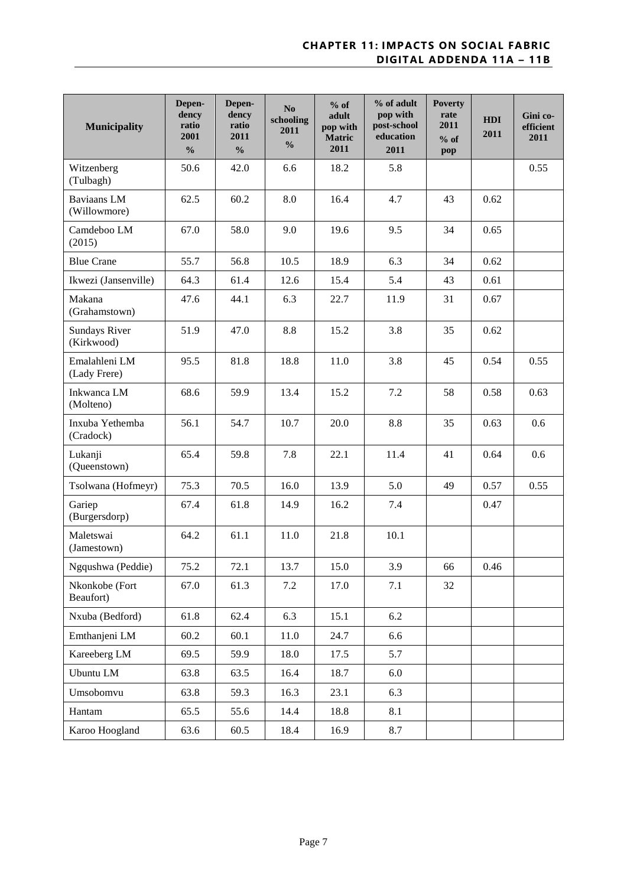| <b>Municipality</b>           | Depen-<br>dency<br>ratio<br>2001<br>$\frac{0}{0}$ | Depen-<br>dency<br>ratio<br>2011<br>$\frac{0}{0}$ | No<br>schooling<br>2011<br>$\frac{0}{0}$ | $%$ of<br>adult<br>pop with<br>Matric<br>2011 | % of adult<br>pop with<br>post-school<br>education<br>2011 | <b>Poverty</b><br>rate<br>2011<br>$%$ of<br>pop | <b>HDI</b><br>2011 | Gini co-<br>efficient<br>2011 |
|-------------------------------|---------------------------------------------------|---------------------------------------------------|------------------------------------------|-----------------------------------------------|------------------------------------------------------------|-------------------------------------------------|--------------------|-------------------------------|
| Witzenberg<br>(Tulbagh)       | 50.6                                              | 42.0                                              | 6.6                                      | 18.2                                          | 5.8                                                        |                                                 |                    | 0.55                          |
| Baviaans LM<br>(Willowmore)   | 62.5                                              | 60.2                                              | 8.0                                      | 16.4                                          | 4.7                                                        | 43                                              | 0.62               |                               |
| Camdeboo LM<br>(2015)         | 67.0                                              | 58.0                                              | 9.0                                      | 19.6                                          | 9.5                                                        | 34                                              | 0.65               |                               |
| <b>Blue Crane</b>             | 55.7                                              | 56.8                                              | 10.5                                     | 18.9                                          | 6.3                                                        | 34                                              | 0.62               |                               |
| Ikwezi (Jansenville)          | 64.3                                              | 61.4                                              | 12.6                                     | 15.4                                          | 5.4                                                        | 43                                              | 0.61               |                               |
| Makana<br>(Grahamstown)       | 47.6                                              | 44.1                                              | 6.3                                      | 22.7                                          | 11.9                                                       | 31                                              | 0.67               |                               |
| Sundays River<br>(Kirkwood)   | 51.9                                              | 47.0                                              | 8.8                                      | 15.2                                          | 3.8                                                        | 35                                              | 0.62               |                               |
| Emalahleni LM<br>(Lady Frere) | 95.5                                              | 81.8                                              | 18.8                                     | 11.0                                          | 3.8                                                        | 45                                              | 0.54               | 0.55                          |
| Inkwanca LM<br>(Molteno)      | 68.6                                              | 59.9                                              | 13.4                                     | 15.2                                          | 7.2                                                        | 58                                              | 0.58               | 0.63                          |
| Inxuba Yethemba<br>(Cradock)  | 56.1                                              | 54.7                                              | 10.7                                     | 20.0                                          | 8.8                                                        | 35                                              | 0.63               | 0.6                           |
| Lukanji<br>(Queenstown)       | 65.4                                              | 59.8                                              | 7.8                                      | 22.1                                          | 11.4                                                       | 41                                              | 0.64               | 0.6                           |
| Tsolwana (Hofmeyr)            | 75.3                                              | 70.5                                              | 16.0                                     | 13.9                                          | 5.0                                                        | 49                                              | 0.57               | 0.55                          |
| Gariep<br>(Burgersdorp)       | 67.4                                              | 61.8                                              | 14.9                                     | 16.2                                          | 7.4                                                        |                                                 | 0.47               |                               |
| Maletswai<br>(Jamestown)      | 64.2                                              | 61.1                                              | 11.0                                     | 21.8                                          | 10.1                                                       |                                                 |                    |                               |
| Ngqushwa (Peddie)             | 75.2                                              | 72.1                                              | 13.7                                     | 15.0                                          | 3.9                                                        | 66                                              | 0.46               |                               |
| Nkonkobe (Fort<br>Beaufort)   | 67.0                                              | 61.3                                              | 7.2                                      | 17.0                                          | 7.1                                                        | 32                                              |                    |                               |
| Nxuba (Bedford)               | 61.8                                              | 62.4                                              | 6.3                                      | 15.1                                          | 6.2                                                        |                                                 |                    |                               |
| Emthanjeni LM                 | 60.2                                              | 60.1                                              | 11.0                                     | 24.7                                          | 6.6                                                        |                                                 |                    |                               |
| Kareeberg LM                  | 69.5                                              | 59.9                                              | 18.0                                     | 17.5                                          | 5.7                                                        |                                                 |                    |                               |
| Ubuntu LM                     | 63.8                                              | 63.5                                              | 16.4                                     | 18.7                                          | 6.0                                                        |                                                 |                    |                               |
| Umsobomvu                     | 63.8                                              | 59.3                                              | 16.3                                     | 23.1                                          | 6.3                                                        |                                                 |                    |                               |
| Hantam                        | 65.5                                              | 55.6                                              | 14.4                                     | 18.8                                          | 8.1                                                        |                                                 |                    |                               |
| Karoo Hoogland                | 63.6                                              | 60.5                                              | 18.4                                     | 16.9                                          | 8.7                                                        |                                                 |                    |                               |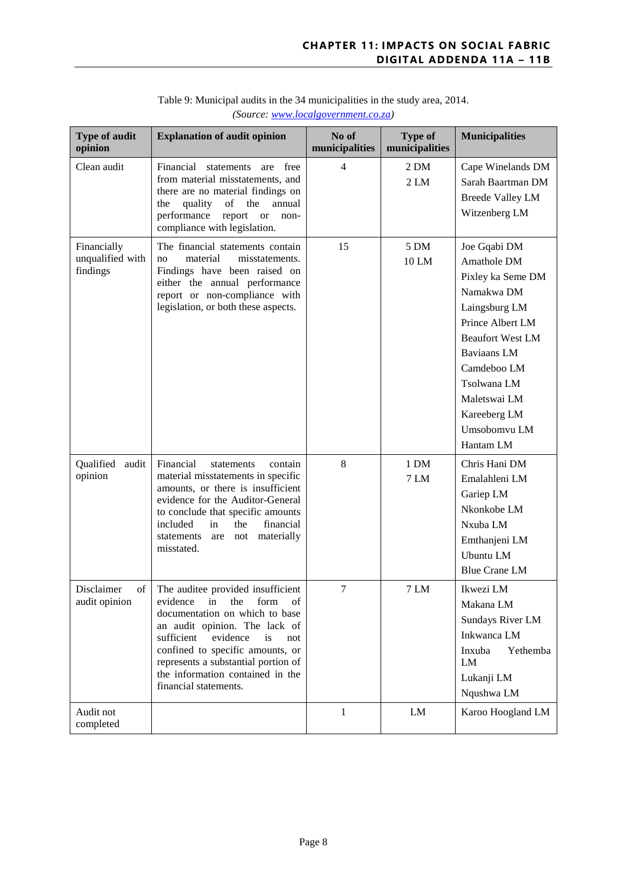| Type of audit<br>opinion                    | <b>Explanation of audit opinion</b>                                                                                                                                                                                                                                                                                        | No of<br>municipalities | <b>Type of</b><br>municipalities | <b>Municipalities</b>                                                                                                                                                                                                                           |
|---------------------------------------------|----------------------------------------------------------------------------------------------------------------------------------------------------------------------------------------------------------------------------------------------------------------------------------------------------------------------------|-------------------------|----------------------------------|-------------------------------------------------------------------------------------------------------------------------------------------------------------------------------------------------------------------------------------------------|
| Clean audit                                 | Financial<br>statements are free<br>from material misstatements, and<br>there are no material findings on<br>quality<br>of<br>the<br>annual<br>the<br>performance<br>report<br><b>or</b><br>non-<br>compliance with legislation.                                                                                           | $\overline{4}$          | $2$ DM<br>2LM                    | Cape Winelands DM<br>Sarah Baartman DM<br><b>Breede Valley LM</b><br>Witzenberg LM                                                                                                                                                              |
| Financially<br>unqualified with<br>findings | The financial statements contain<br>material<br>misstatements.<br>no<br>Findings have been raised on<br>either the annual performance<br>report or non-compliance with<br>legislation, or both these aspects.                                                                                                              | 15                      | 5 DM<br>10 LM                    | Joe Gqabi DM<br>Amathole DM<br>Pixley ka Seme DM<br>Namakwa DM<br>Laingsburg LM<br>Prince Albert LM<br><b>Beaufort West LM</b><br><b>Baviaans</b> LM<br>Camdeboo LM<br>Tsolwana LM<br>Maletswai LM<br>Kareeberg LM<br>Umsobomvu LM<br>Hantam LM |
| Qualified<br>audit<br>opinion               | Financial<br>statements<br>contain<br>material misstatements in specific<br>amounts, or there is insufficient<br>evidence for the Auditor-General<br>to conclude that specific amounts<br>included<br>the<br>financial<br>in<br>materially<br>not<br>statements<br>are<br>misstated.                                       | 8                       | 1 DM<br>7 LM                     | Chris Hani DM<br>Emalahleni LM<br>Gariep LM<br>Nkonkobe LM<br>Nxuba LM<br>Emthanjeni LM<br>Ubuntu LM<br><b>Blue Crane LM</b>                                                                                                                    |
| Disclaimer<br>of<br>audit opinion           | The auditee provided insufficient<br>evidence<br>in<br>the<br>form<br>οf<br>documentation on which to base<br>an audit opinion. The lack of<br>sufficient<br>evidence<br>is<br>not<br>confined to specific amounts, or<br>represents a substantial portion of<br>the information contained in the<br>financial statements. | $\tau$                  | 7 LM                             | Ikwezi LM<br>Makana LM<br>Sundays River LM<br>Inkwanca LM<br>Inxuba<br>Yethemba<br>LM<br>Lukanji LM<br>Nqushwa LM                                                                                                                               |
| Audit not<br>completed                      |                                                                                                                                                                                                                                                                                                                            | $\mathbf{1}$            | LM                               | Karoo Hoogland LM                                                                                                                                                                                                                               |

#### Table 9: Municipal audits in the 34 municipalities in the study area, 2014. *(Source: [www.localgovernment.co.za\)](http://www.localgovernment.co.za/)*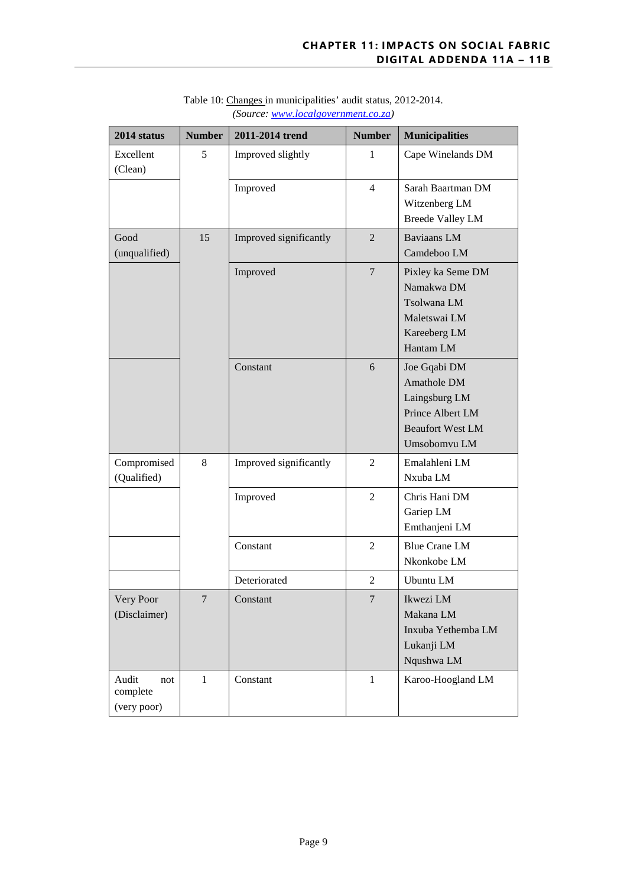| 2014 status                             | <b>Number</b> | 2011-2014 trend        | <b>Number</b>  | <b>Municipalities</b>                                                                                       |
|-----------------------------------------|---------------|------------------------|----------------|-------------------------------------------------------------------------------------------------------------|
| Excellent<br>(Clean)                    | 5             | Improved slightly      | 1              | Cape Winelands DM                                                                                           |
|                                         |               | Improved               | $\overline{4}$ | Sarah Baartman DM<br>Witzenberg LM<br><b>Breede Valley LM</b>                                               |
| Good<br>(unqualified)                   | 15            | Improved significantly | $\overline{2}$ | <b>Baviaans LM</b><br>Camdeboo LM                                                                           |
|                                         |               | Improved               | $\overline{7}$ | Pixley ka Seme DM<br>Namakwa DM<br>Tsolwana LM<br>Maletswai LM<br>Kareeberg LM<br>Hantam LM                 |
|                                         |               | Constant               | 6              | Joe Gqabi DM<br>Amathole DM<br>Laingsburg LM<br>Prince Albert LM<br><b>Beaufort West LM</b><br>Umsobomvu LM |
| Compromised<br>(Qualified)              | 8             | Improved significantly | $\overline{2}$ | Emalahleni LM<br>Nxuba LM                                                                                   |
|                                         |               | Improved               | $\overline{2}$ | Chris Hani DM<br>Gariep LM<br>Emthanjeni LM                                                                 |
|                                         |               | Constant               | $\overline{2}$ | <b>Blue Crane LM</b><br>Nkonkobe LM                                                                         |
|                                         |               | Deteriorated           | $\overline{c}$ | <b>Ubuntu LM</b>                                                                                            |
| Very Poor<br>(Disclaimer)               | 7             | Constant               | 7              | Ikwezi LM<br>Makana LM<br>Inxuba Yethemba LM<br>Lukanji LM<br>Nqushwa LM                                    |
| Audit<br>not<br>complete<br>(very poor) | $\mathbf{1}$  | Constant               | $\mathbf{1}$   | Karoo-Hoogland LM                                                                                           |

Table 10: Changes in municipalities' audit status, 2012-2014. *(Source: [www.localgovernment.co.za\)](http://www.localgovernment.co.za/)*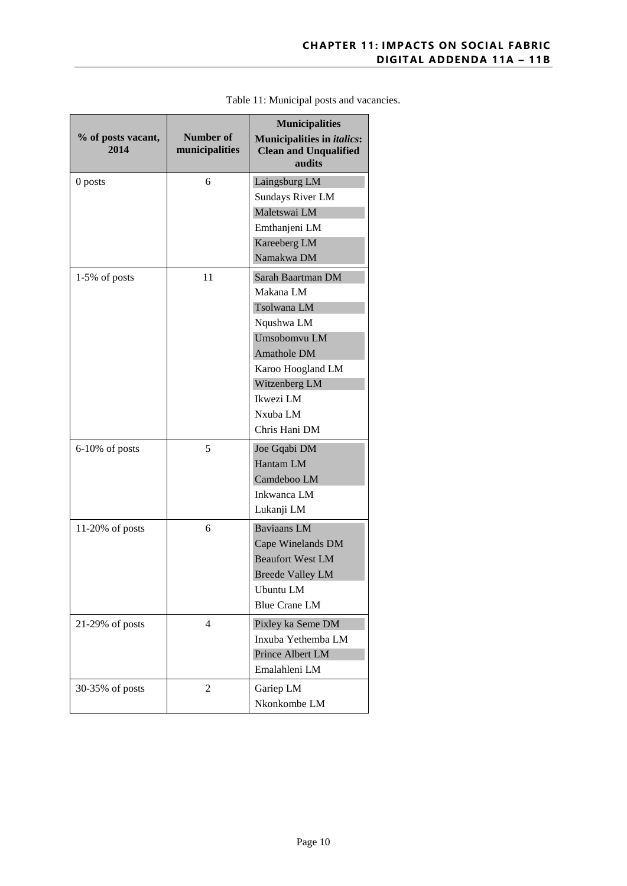| % of posts vacant,<br>2014 | Number of<br>municipalities | <b>Municipalities</b><br><b>Municipalities in italics:</b><br><b>Clean and Unqualified</b><br>audits |
|----------------------------|-----------------------------|------------------------------------------------------------------------------------------------------|
| 0 posts                    | 6                           | Laingsburg LM                                                                                        |
|                            |                             | <b>Sundays River LM</b>                                                                              |
|                            |                             | Maletswai LM                                                                                         |
|                            |                             | Emthanjeni LM                                                                                        |
|                            |                             | Kareeberg LM                                                                                         |
|                            |                             | Namakwa DM                                                                                           |
| $1-5\%$ of posts           | 11                          | Sarah Baartman DM                                                                                    |
|                            |                             | Makana LM                                                                                            |
|                            |                             | Tsolwana LM                                                                                          |
|                            |                             | Nqushwa LM                                                                                           |
|                            |                             | Umsobomvu LM                                                                                         |
|                            |                             | Amathole DM                                                                                          |
|                            |                             | Karoo Hoogland LM                                                                                    |
|                            |                             | Witzenberg LM                                                                                        |
|                            |                             | Ikwezi LM                                                                                            |
|                            |                             | Nxuba LM                                                                                             |
|                            |                             | Chris Hani DM                                                                                        |
| $6-10\%$ of posts          | 5                           | Joe Gqabi DM                                                                                         |
|                            |                             | Hantam LM                                                                                            |
|                            |                             | Camdeboo LM                                                                                          |
|                            |                             | Inkwanca LM                                                                                          |
|                            |                             | Lukanji LM                                                                                           |
| $11-20\%$ of posts         | 6                           | Baviaans LM                                                                                          |
|                            |                             | Cape Winelands DM                                                                                    |
|                            |                             | <b>Beaufort West LM</b>                                                                              |
|                            |                             | <b>Breede Valley LM</b>                                                                              |
|                            |                             | Ubuntu LM                                                                                            |
|                            |                             | <b>Blue Crane LM</b>                                                                                 |
| 21-29% of posts            | 4                           | Pixley ka Seme DM                                                                                    |
|                            |                             | Inxuba Yethemba LM                                                                                   |
|                            |                             | Prince Albert LM                                                                                     |
|                            |                             | Emalahleni LM                                                                                        |
| 30-35% of posts            | 2                           | Gariep LM                                                                                            |
|                            |                             | Nkonkombe LM                                                                                         |

#### Table 11: Municipal posts and vacancies.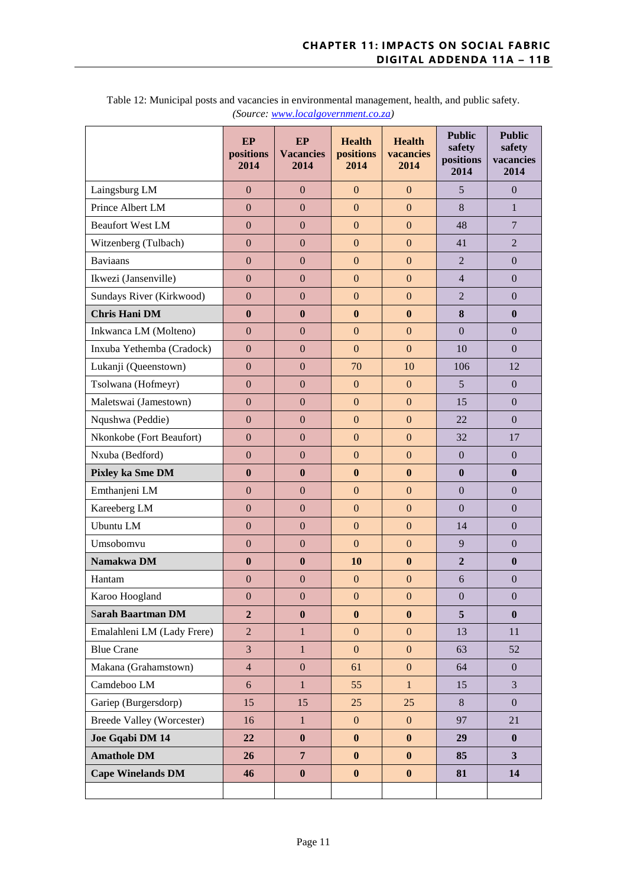|                                  | EP<br>positions<br>2014 | EP<br><b>Vacancies</b><br>2014 | <b>Health</b><br>positions<br>2014 | <b>Health</b><br>vacancies<br>2014 | <b>Public</b><br>safety<br>positions<br>2014 | <b>Public</b><br>safety<br>vacancies<br>2014 |
|----------------------------------|-------------------------|--------------------------------|------------------------------------|------------------------------------|----------------------------------------------|----------------------------------------------|
| Laingsburg LM                    | $\mathbf{0}$            | $\mathbf{0}$                   | $\mathbf{0}$                       | $\mathbf{0}$                       | $5\overline{)}$                              | $\mathbf{0}$                                 |
| Prince Albert LM                 | $\overline{0}$          | $\overline{0}$                 | $\overline{0}$                     | $\overline{0}$                     | 8                                            | $\mathbf{1}$                                 |
| <b>Beaufort West LM</b>          | $\mathbf{0}$            | $\mathbf{0}$                   | $\boldsymbol{0}$                   | $\overline{0}$                     | 48                                           | $\overline{7}$                               |
| Witzenberg (Tulbach)             | $\boldsymbol{0}$        | $\boldsymbol{0}$               | $\mathbf{0}$                       | $\mathbf{0}$                       | 41                                           | $\overline{2}$                               |
| <b>Baviaans</b>                  | $\overline{0}$          | $\overline{0}$                 | $\boldsymbol{0}$                   | $\overline{0}$                     | $\overline{2}$                               | $\mathbf{0}$                                 |
| Ikwezi (Jansenville)             | $\mathbf{0}$            | $\mathbf{0}$                   | $\boldsymbol{0}$                   | $\overline{0}$                     | $\overline{4}$                               | $\boldsymbol{0}$                             |
| Sundays River (Kirkwood)         | $\overline{0}$          | $\mathbf{0}$                   | $\overline{0}$                     | $\overline{0}$                     | $\overline{2}$                               | $\mathbf{0}$                                 |
| <b>Chris Hani DM</b>             | $\bf{0}$                | $\bf{0}$                       | $\bf{0}$                           | $\bf{0}$                           | 8                                            | $\boldsymbol{0}$                             |
| Inkwanca LM (Molteno)            | $\boldsymbol{0}$        | $\mathbf{0}$                   | $\boldsymbol{0}$                   | $\mathbf{0}$                       | $\mathbf{0}$                                 | $\boldsymbol{0}$                             |
| Inxuba Yethemba (Cradock)        | $\overline{0}$          | $\mathbf{0}$                   | $\mathbf{0}$                       | $\overline{0}$                     | 10                                           | $\boldsymbol{0}$                             |
| Lukanji (Queenstown)             | $\mathbf{0}$            | $\mathbf{0}$                   | 70                                 | 10                                 | 106                                          | 12                                           |
| Tsolwana (Hofmeyr)               | $\overline{0}$          | $\overline{0}$                 | $\mathbf{0}$                       | $\mathbf{0}$                       | 5                                            | $\mathbf{0}$                                 |
| Maletswai (Jamestown)            | $\mathbf{0}$            | $\mathbf{0}$                   | $\boldsymbol{0}$                   | $\boldsymbol{0}$                   | 15                                           | $\boldsymbol{0}$                             |
| Nqushwa (Peddie)                 | $\boldsymbol{0}$        | $\mathbf{0}$                   | $\boldsymbol{0}$                   | $\mathbf{0}$                       | 22                                           | $\mathbf{0}$                                 |
| Nkonkobe (Fort Beaufort)         | $\overline{0}$          | $\mathbf{0}$                   | $\boldsymbol{0}$                   | $\overline{0}$                     | 32                                           | 17                                           |
| Nxuba (Bedford)                  | $\mathbf{0}$            | $\mathbf{0}$                   | $\mathbf{0}$                       | $\overline{0}$                     | $\mathbf{0}$                                 | $\boldsymbol{0}$                             |
| Pixley ka Sme DM                 | $\bf{0}$                | $\bf{0}$                       | $\bf{0}$                           | $\bf{0}$                           | $\bf{0}$                                     | $\boldsymbol{0}$                             |
| Emthanjeni LM                    | $\boldsymbol{0}$        | $\mathbf{0}$                   | $\boldsymbol{0}$                   | $\overline{0}$                     | $\mathbf{0}$                                 | $\boldsymbol{0}$                             |
| Kareeberg LM                     | $\boldsymbol{0}$        | $\mathbf{0}$                   | $\boldsymbol{0}$                   | $\mathbf{0}$                       | $\mathbf{0}$                                 | $\boldsymbol{0}$                             |
| Ubuntu LM                        | $\overline{0}$          | $\mathbf{0}$                   | $\boldsymbol{0}$                   | $\overline{0}$                     | 14                                           | $\mathbf{0}$                                 |
| Umsobomvu                        | $\overline{0}$          | $\overline{0}$                 | $\mathbf{0}$                       | $\overline{0}$                     | 9                                            | $\mathbf{0}$                                 |
| Namakwa DM                       | $\bf{0}$                | $\mathbf{0}$                   | 10                                 | $\bf{0}$                           | $\overline{2}$                               | $\boldsymbol{0}$                             |
| Hantam                           | $\boldsymbol{0}$        | $\boldsymbol{0}$               | $\boldsymbol{0}$                   | $\boldsymbol{0}$                   | 6                                            | $\boldsymbol{0}$                             |
| Karoo Hoogland                   | $\boldsymbol{0}$        | $\boldsymbol{0}$               | $\mathbf{0}$                       | $\boldsymbol{0}$                   | $\boldsymbol{0}$                             | $\boldsymbol{0}$                             |
| <b>Sarah Baartman DM</b>         | $\overline{2}$          | $\boldsymbol{0}$               | $\bf{0}$                           | $\bf{0}$                           | 5                                            | $\boldsymbol{0}$                             |
| Emalahleni LM (Lady Frere)       | $\overline{2}$          | $\mathbf{1}$                   | $\mathbf{0}$                       | $\overline{0}$                     | 13                                           | 11                                           |
| <b>Blue Crane</b>                | 3                       | $\mathbf{1}$                   | $\mathbf{0}$                       | $\mathbf{0}$                       | 63                                           | 52                                           |
| Makana (Grahamstown)             | $\overline{4}$          | $\boldsymbol{0}$               | 61                                 | $\boldsymbol{0}$                   | 64                                           | $\boldsymbol{0}$                             |
| Camdeboo LM                      | $\boldsymbol{6}$        | $\mathbf{1}$                   | 55                                 | $\mathbf{1}$                       | 15                                           | 3                                            |
| Gariep (Burgersdorp)             | 15                      | 15                             | 25                                 | 25                                 | 8                                            | $\mathbf{0}$                                 |
| <b>Breede Valley (Worcester)</b> | 16                      | $\mathbf{1}$                   | $\mathbf{0}$                       | $\mathbf{0}$                       | 97                                           | 21                                           |
| Joe Gqabi DM 14                  | 22                      | $\bf{0}$                       | $\boldsymbol{0}$                   | $\bf{0}$                           | 29                                           | $\boldsymbol{0}$                             |
| <b>Amathole DM</b>               | 26                      | $\overline{7}$                 | $\boldsymbol{0}$                   | $\bf{0}$                           | 85                                           | $\mathbf{3}$                                 |
| <b>Cape Winelands DM</b>         | 46                      | $\boldsymbol{0}$               | $\boldsymbol{0}$                   | $\bf{0}$                           | 81                                           | 14                                           |
|                                  |                         |                                |                                    |                                    |                                              |                                              |

Table 12: Municipal posts and vacancies in environmental management, health, and public safety. *(Source: [www.localgovernment.co.za\)](http://www.localgovernment.co.za/)*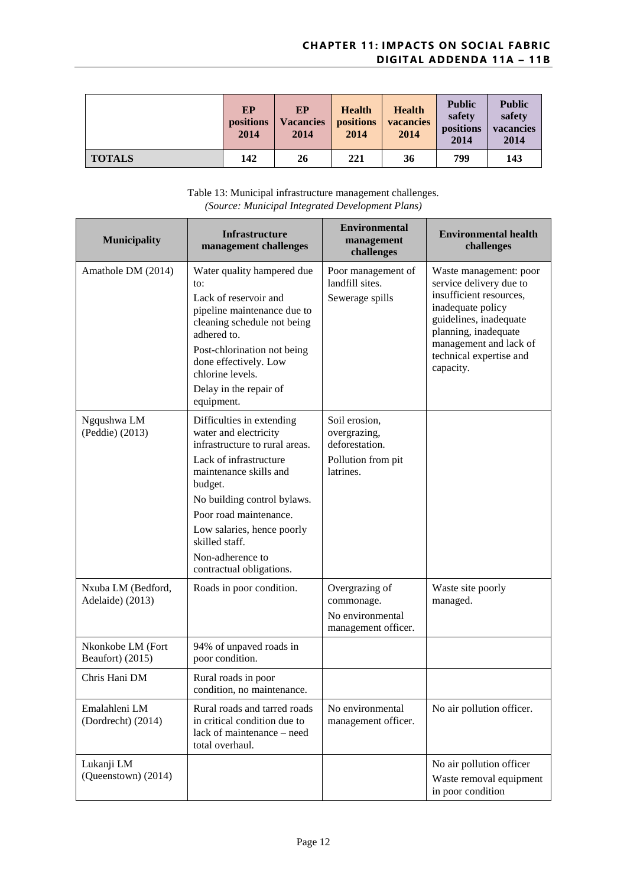|               | EP<br><b>positions</b><br>2014 | ЕP<br><b>Vacancies</b><br>2014 | <b>Health</b><br>positions<br>2014 | <b>Health</b><br>vacancies<br>2014 | <b>Public</b><br>safety<br>positions<br>2014 | <b>Public</b><br>safety<br>vacancies<br>2014 |
|---------------|--------------------------------|--------------------------------|------------------------------------|------------------------------------|----------------------------------------------|----------------------------------------------|
| <b>TOTALS</b> | 142                            | 26                             | 221                                | 36                                 | 799                                          | 143                                          |

Table 13: Municipal infrastructure management challenges. *(Source: Municipal Integrated Development Plans)*

| <b>Municipality</b>                    | <b>Infrastructure</b><br>management challenges                                                                                                                                                                                                                                                               | <b>Environmental</b><br>management<br>challenges                                   | <b>Environmental health</b><br>challenges                                                                                                                                                                             |
|----------------------------------------|--------------------------------------------------------------------------------------------------------------------------------------------------------------------------------------------------------------------------------------------------------------------------------------------------------------|------------------------------------------------------------------------------------|-----------------------------------------------------------------------------------------------------------------------------------------------------------------------------------------------------------------------|
| Amathole DM (2014)                     | Water quality hampered due<br>to:<br>Lack of reservoir and<br>pipeline maintenance due to<br>cleaning schedule not being<br>adhered to.<br>Post-chlorination not being<br>done effectively. Low<br>chlorine levels.<br>Delay in the repair of<br>equipment.                                                  | Poor management of<br>landfill sites.<br>Sewerage spills                           | Waste management: poor<br>service delivery due to<br>insufficient resources,<br>inadequate policy<br>guidelines, inadequate<br>planning, inadequate<br>management and lack of<br>technical expertise and<br>capacity. |
| Ngqushwa LM<br>(Peddie) (2013)         | Difficulties in extending<br>water and electricity<br>infrastructure to rural areas.<br>Lack of infrastructure<br>maintenance skills and<br>budget.<br>No building control bylaws.<br>Poor road maintenance.<br>Low salaries, hence poorly<br>skilled staff.<br>Non-adherence to<br>contractual obligations. | Soil erosion,<br>overgrazing,<br>deforestation.<br>Pollution from pit<br>latrines. |                                                                                                                                                                                                                       |
| Nxuba LM (Bedford,<br>Adelaide) (2013) | Roads in poor condition.                                                                                                                                                                                                                                                                                     | Overgrazing of<br>commonage.<br>No environmental<br>management officer.            | Waste site poorly<br>managed.                                                                                                                                                                                         |
| Nkonkobe LM (Fort<br>Beaufort) (2015)  | 94% of unpaved roads in<br>poor condition.                                                                                                                                                                                                                                                                   |                                                                                    |                                                                                                                                                                                                                       |
| Chris Hani DM                          | Rural roads in poor<br>condition, no maintenance.                                                                                                                                                                                                                                                            |                                                                                    |                                                                                                                                                                                                                       |
| Emalahleni LM<br>(Dordrecht) (2014)    | Rural roads and tarred roads<br>in critical condition due to<br>lack of maintenance - need<br>total overhaul.                                                                                                                                                                                                | No environmental<br>management officer.                                            | No air pollution officer.                                                                                                                                                                                             |
| Lukanji LM<br>(Queenstown) (2014)      |                                                                                                                                                                                                                                                                                                              |                                                                                    | No air pollution officer<br>Waste removal equipment<br>in poor condition                                                                                                                                              |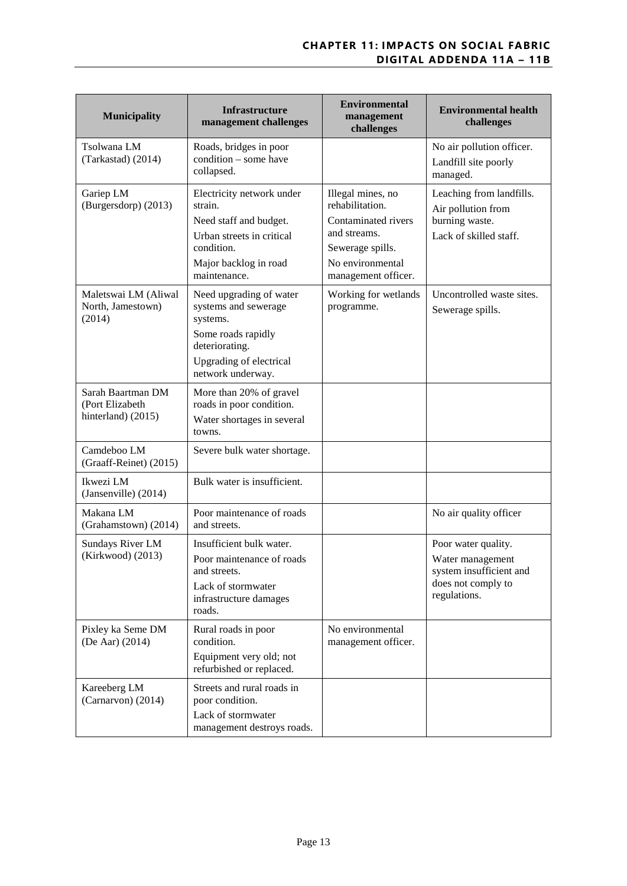| <b>Municipality</b>                                        | <b>Infrastructure</b><br>management challenges                                                                                                      | <b>Environmental</b><br>management<br>challenges                                                                                           | <b>Environmental health</b><br>challenges                                                                |
|------------------------------------------------------------|-----------------------------------------------------------------------------------------------------------------------------------------------------|--------------------------------------------------------------------------------------------------------------------------------------------|----------------------------------------------------------------------------------------------------------|
| Tsolwana LM<br>(Tarkastad) (2014)                          | Roads, bridges in poor<br>condition - some have<br>collapsed.                                                                                       |                                                                                                                                            | No air pollution officer.<br>Landfill site poorly<br>managed.                                            |
| Gariep LM<br>(Burgersdorp) (2013)                          | Electricity network under<br>strain.<br>Need staff and budget.<br>Urban streets in critical<br>condition.<br>Major backlog in road<br>maintenance.  | Illegal mines, no<br>rehabilitation.<br>Contaminated rivers<br>and streams.<br>Sewerage spills.<br>No environmental<br>management officer. | Leaching from landfills.<br>Air pollution from<br>burning waste.<br>Lack of skilled staff.               |
| Maletswai LM (Aliwal<br>North, Jamestown)<br>(2014)        | Need upgrading of water<br>systems and sewerage<br>systems.<br>Some roads rapidly<br>deteriorating.<br>Upgrading of electrical<br>network underway. | Working for wetlands<br>programme.                                                                                                         | Uncontrolled waste sites.<br>Sewerage spills.                                                            |
| Sarah Baartman DM<br>(Port Elizabeth<br>hinterland) (2015) | More than 20% of gravel<br>roads in poor condition.<br>Water shortages in several<br>towns.                                                         |                                                                                                                                            |                                                                                                          |
| Camdeboo LM<br>(Graaff-Reinet) (2015)                      | Severe bulk water shortage.                                                                                                                         |                                                                                                                                            |                                                                                                          |
| Ikwezi LM<br>(Jansenville) (2014)                          | Bulk water is insufficient.                                                                                                                         |                                                                                                                                            |                                                                                                          |
| Makana LM<br>(Grahamstown) (2014)                          | Poor maintenance of roads<br>and streets.                                                                                                           |                                                                                                                                            | No air quality officer                                                                                   |
| Sundays River LM<br>(Kirkwood) (2013)                      | Insufficient bulk water.<br>Poor maintenance of roads<br>and streets.<br>Lack of stormwater<br>infrastructure damages<br>roads.                     |                                                                                                                                            | Poor water quality.<br>Water management<br>system insufficient and<br>does not comply to<br>regulations. |
| Pixley ka Seme DM<br>(De Aar) (2014)                       | Rural roads in poor<br>condition.<br>Equipment very old; not<br>refurbished or replaced.                                                            | No environmental<br>management officer.                                                                                                    |                                                                                                          |
| Kareeberg LM<br>(Carnarvon) (2014)                         | Streets and rural roads in<br>poor condition.<br>Lack of stormwater<br>management destroys roads.                                                   |                                                                                                                                            |                                                                                                          |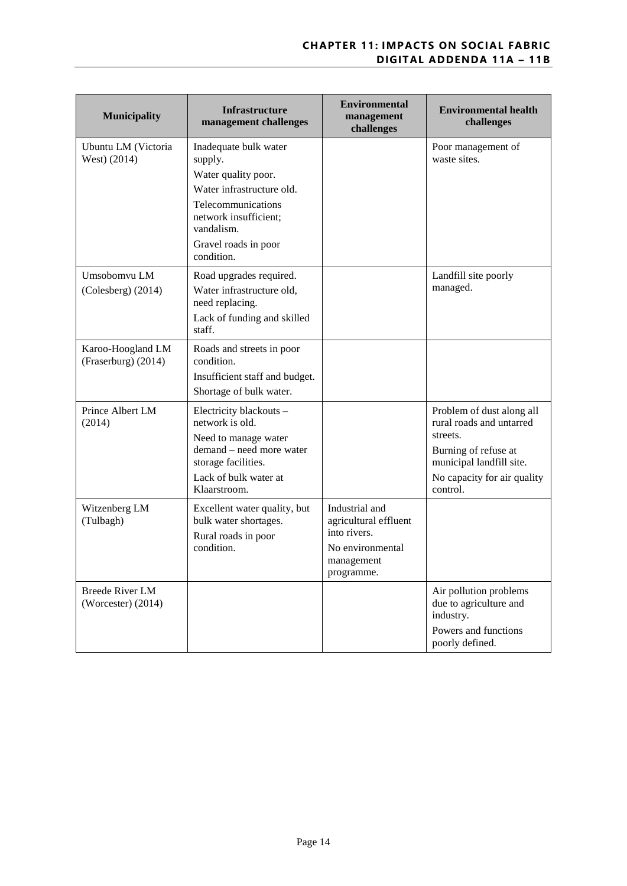| <b>Municipality</b>                            | <b>Infrastructure</b><br>management challenges                                                                                                                                          | <b>Environmental</b><br>management<br>challenges                                                        | <b>Environmental health</b><br>challenges                                                                                                                        |
|------------------------------------------------|-----------------------------------------------------------------------------------------------------------------------------------------------------------------------------------------|---------------------------------------------------------------------------------------------------------|------------------------------------------------------------------------------------------------------------------------------------------------------------------|
| Ubuntu LM (Victoria<br>West) (2014)            | Inadequate bulk water<br>supply.<br>Water quality poor.<br>Water infrastructure old.<br>Telecommunications<br>network insufficient;<br>vandalism.<br>Gravel roads in poor<br>condition. |                                                                                                         | Poor management of<br>waste sites.                                                                                                                               |
| Umsobomvu LM<br>(Colesberg) (2014)             | Road upgrades required.<br>Water infrastructure old,<br>need replacing.<br>Lack of funding and skilled<br>staff.                                                                        |                                                                                                         | Landfill site poorly<br>managed.                                                                                                                                 |
| Karoo-Hoogland LM<br>(Fraserburg) (2014)       | Roads and streets in poor<br>condition.<br>Insufficient staff and budget.<br>Shortage of bulk water.                                                                                    |                                                                                                         |                                                                                                                                                                  |
| Prince Albert LM<br>(2014)                     | Electricity blackouts -<br>network is old.<br>Need to manage water<br>demand - need more water<br>storage facilities.<br>Lack of bulk water at<br>Klaarstroom.                          |                                                                                                         | Problem of dust along all<br>rural roads and untarred<br>streets.<br>Burning of refuse at<br>municipal landfill site.<br>No capacity for air quality<br>control. |
| Witzenberg LM<br>(Tulbagh)                     | Excellent water quality, but<br>bulk water shortages.<br>Rural roads in poor<br>condition.                                                                                              | Industrial and<br>agricultural effluent<br>into rivers.<br>No environmental<br>management<br>programme. |                                                                                                                                                                  |
| <b>Breede River LM</b><br>(Worcester) $(2014)$ |                                                                                                                                                                                         |                                                                                                         | Air pollution problems<br>due to agriculture and<br>industry.<br>Powers and functions<br>poorly defined.                                                         |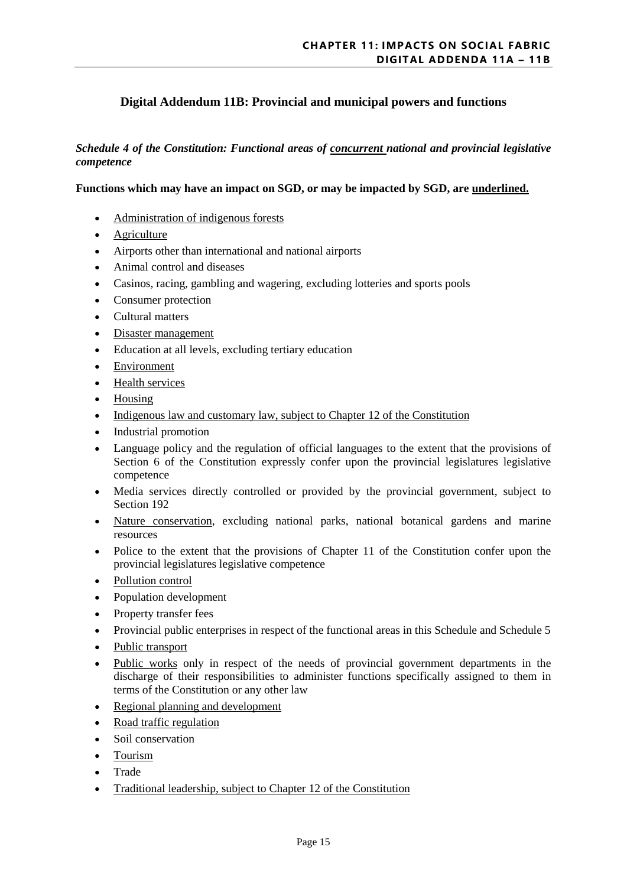# **Digital Addendum 11B: Provincial and municipal powers and functions**

*Schedule 4 of the Constitution: Functional areas of concurrent national and provincial legislative competence*

#### **Functions which may have an impact on SGD, or may be impacted by SGD, are underlined.**

- Administration of indigenous forests
- **Agriculture**
- Airports other than international and national airports
- Animal control and diseases
- Casinos, racing, gambling and wagering, excluding lotteries and sports pools
- Consumer protection
- Cultural matters
- Disaster management
- Education at all levels, excluding tertiary education
- Environment
- Health services
- Housing
- Indigenous law and customary law, subject to Chapter 12 of the Constitution
- Industrial promotion
- Language policy and the regulation of official languages to the extent that the provisions of Section 6 of the Constitution expressly confer upon the provincial legislatures legislative competence
- Media services directly controlled or provided by the provincial government, subject to Section 192
- Nature conservation, excluding national parks, national botanical gardens and marine resources
- Police to the extent that the provisions of Chapter 11 of the Constitution confer upon the provincial legislatures legislative competence
- Pollution control
- Population development
- Property transfer fees
- Provincial public enterprises in respect of the functional areas in this Schedule and Schedule 5
- Public transport
- Public works only in respect of the needs of provincial government departments in the discharge of their responsibilities to administer functions specifically assigned to them in terms of the Constitution or any other law
- Regional planning and development
- Road traffic regulation
- Soil conservation
- Tourism
- Trade
- Traditional leadership, subject to Chapter 12 of the Constitution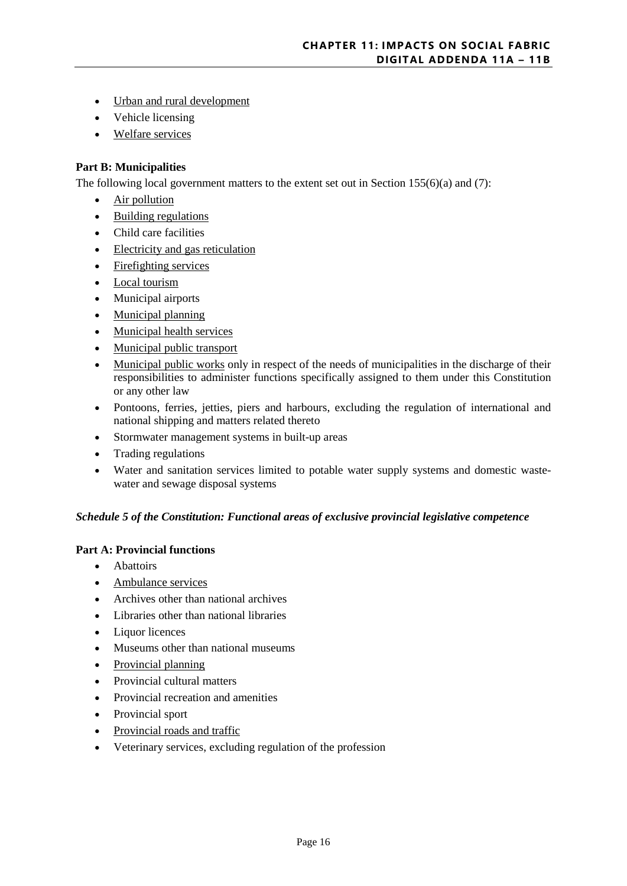- Urban and rural development
- Vehicle licensing
- Welfare services

#### **Part B: Municipalities**

The following local government matters to the extent set out in Section 155(6)(a) and (7):

- Air pollution
- Building regulations
- Child care facilities
- Electricity and gas reticulation
- Firefighting services
- Local tourism
- Municipal airports
- Municipal planning
- Municipal health services
- Municipal public transport
- Municipal public works only in respect of the needs of municipalities in the discharge of their responsibilities to administer functions specifically assigned to them under this Constitution or any other law
- Pontoons, ferries, jetties, piers and harbours, excluding the regulation of international and national shipping and matters related thereto
- Stormwater management systems in built-up areas
- Trading regulations
- Water and sanitation services limited to potable water supply systems and domestic wastewater and sewage disposal systems

#### *Schedule 5 of the Constitution: Functional areas of exclusive provincial legislative competence*

#### **Part A: Provincial functions**

- Abattoirs
- Ambulance services
- Archives other than national archives
- Libraries other than national libraries
- Liquor licences
- Museums other than national museums
- Provincial planning
- Provincial cultural matters
- Provincial recreation and amenities
- Provincial sport
- Provincial roads and traffic
- Veterinary services, excluding regulation of the profession